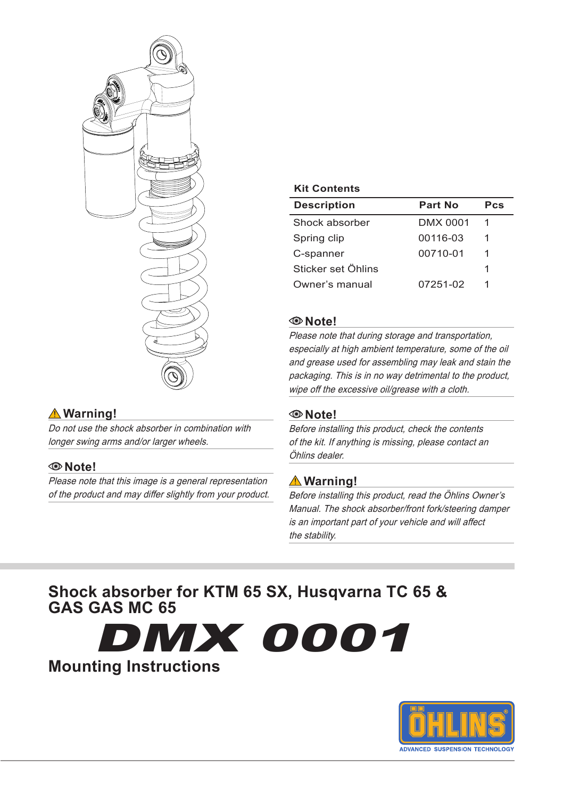

## **Warning!**

Do not use the shock absorber in combination with longer swing arms and/or larger wheels.

### **Note!**

Please note that this image is a general representation of the product and may differ slightly from your product.

#### **Kit Contents**

| <b>Description</b> | Part No  | Pcs |
|--------------------|----------|-----|
| Shock absorber     | DMX 0001 | 1   |
| Spring clip        | 00116-03 | 1   |
| C-spanner          | 00710-01 | 1   |
| Sticker set Öhlins |          | 1   |
| Owner's manual     | 07251-02 | 1   |

#### **Note!**

Please note that during storage and transportation, especially at high ambient temperature, some of the oil and grease used for assembling may leak and stain the packaging. This is in no way detrimental to the product, wipe off the excessive oil/grease with a cloth.

#### **Note!**

Before installing this product, check the contents of the kit. If anything is missing, please contact an Öhlins dealer.

## **Warning!**

Before installing this product, read the Öhlins Owner's Manual. The shock absorber/front fork/steering damper is an important part of your vehicle and will affect the stability.

## **Shock absorber for KTM 65 SX, Husqvarna TC 65 & GAS GAS MC 65**

DMX 0001 **Mounting Instructions**

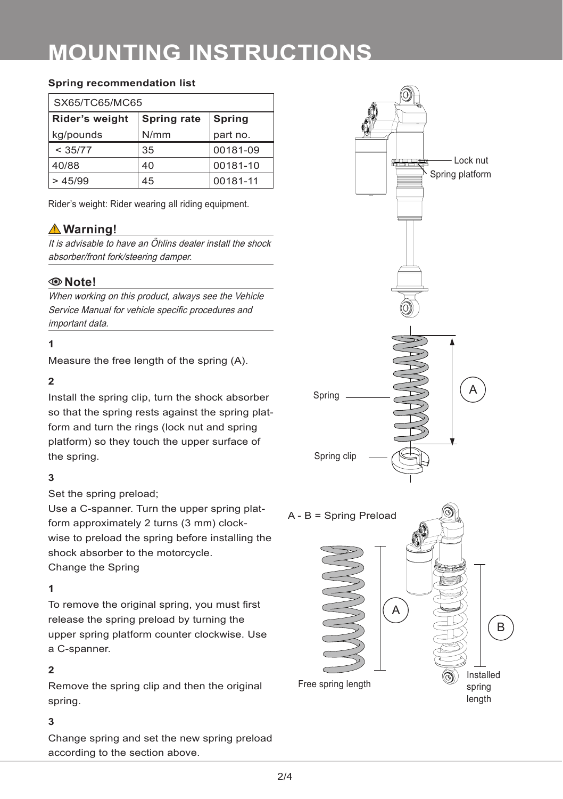# **MOUNTING INSTRUCTIONS**

#### **Spring recommendation list**

| SX65/TC65/MC65 |             |               |  |  |
|----------------|-------------|---------------|--|--|
| Rider's weight | Spring rate | <b>Spring</b> |  |  |
| kg/pounds      | N/mm        | part no.      |  |  |
| < 35/77        | 35          | 00181-09      |  |  |
| 40/88          | 40          | 00181-10      |  |  |
| >45/99         | 45          | 00181-11      |  |  |

Rider's weight: Rider wearing all riding equipment.

## **Warning!**

It is advisable to have an Öhlins dealer install the shock absorber/front fork/steering damper.

#### **Note!**

When working on this product, always see the Vehicle Service Manual for vehicle specific procedures and important data.

#### **1**

Measure the free length of the spring (A).

#### **2**

Install the spring clip, turn the shock absorber so that the spring rests against the spring platform and turn the rings (lock nut and spring platform) so they touch the upper surface of the spring.

#### **3**

Set the spring preload;

Use a C-spanner. Turn the upper spring platform approximately 2 turns (3 mm) clockwise to preload the spring before installing the shock absorber to the motorcycle. Change the Spring

#### **1**

To remove the original spring, you must first release the spring preload by turning the upper spring platform counter clockwise. Use a C-spanner.

#### **2**

Remove the spring clip and then the original spring.

#### **3**

Change spring and set the new spring preload according to the section above.

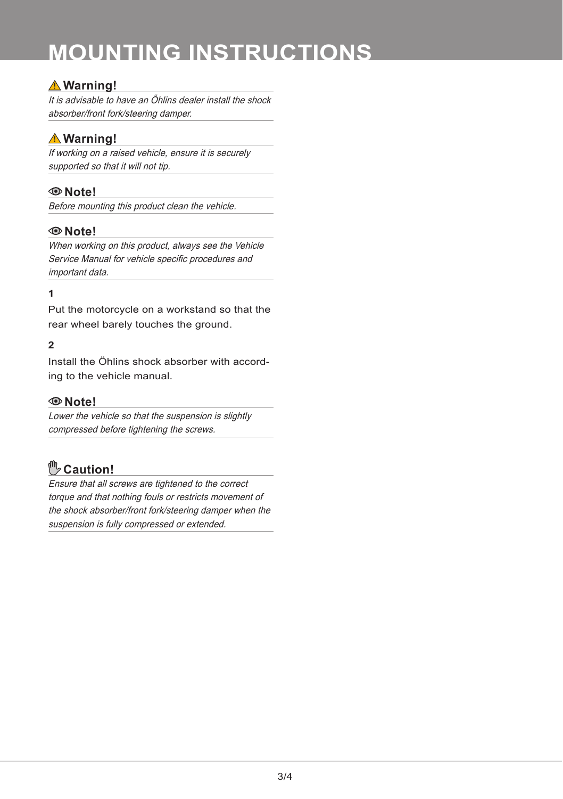# **MOUNTING INSTRUCTIONS**

## **Warning!**

It is advisable to have an Öhlins dealer install the shock absorber/front fork/steering damper.

## **Warning!**

If working on a raised vehicle, ensure it is securely supported so that it will not tip.

## **Note!**

Before mounting this product clean the vehicle.

### **Note!**

When working on this product, always see the Vehicle Service Manual for vehicle specific procedures and important data.

#### **1**

Put the motorcycle on a workstand so that the rear wheel barely touches the ground.

#### **2**

Install the Öhlins shock absorber with according to the vehicle manual.

#### **Note!**

Lower the vehicle so that the suspension is slightly compressed before tightening the screws.

## **Caution!**

Ensure that all screws are tightened to the correct torque and that nothing fouls or restricts movement of the shock absorber/front fork/steering damper when the suspension is fully compressed or extended.